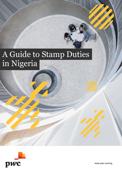# A Guide to Stamp Duties in Nigeria



www.pwc.com/ng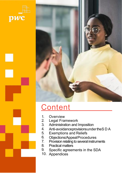



# **Content**

- 1. **Overview**
- 2. Legal Framework
- 3. Administration and Imposition
- 4. Anti-avoidanceprovisionsundertheS D A
- 5. Exemptions and Reliefs
- 6. Objections/AppealProcedures
- 7. Provision relating to several instruments
- 8. Practical matters
- 9. Specific agreements in the SDA
- 10. Appendices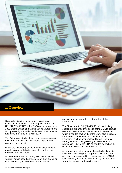

Stamp duty is a tax on instruments (written or electronic documents). The Stamp Duties Act Cap. S8 LFN 2004 ("SDA" or the Act") can be traced to the 1893 Stamp Duties and Stamp Duties Management Acts passed by the British Parliament. It was enacted and came into force on 1 April 1939.

The Act, amongst other things, imposes stamp duties on written or electronic instruments (agreements, contracts, receipts etc.).

Under the Act, stamp duties may be levied either at an ad valorem or flat rate depending on the type or nature of the instrument.

Ad valorem means "according to value" so an ad valorem rate is based on the value of the transaction while fixed rate, as the name implies, means a

specific amount regardless of the value of the transaction.

The Finance Act 2019 ("the FA 2019"), particularly section 52, expanded the scope of the SDA to capture electronic transactions. The FA 2019 (in section 54 which amended section 89 of the SDA) also expressly introduced stamp duties on bank deposits and transfers. This has been replaced by an Electronic Money Transfer Levy ('EMTL") now contained in a new section 89A of the SDA (amended by section 48 of the Finance Act, 2020 ('the FA 2020").

As a result, deposit money banks and other financial institutions receiving cash deposits of NGN 10,000 and above are required to charge a one-off NGN 50 levy. The levy is to be accounted for by the person to whom the transfer or deposit is made.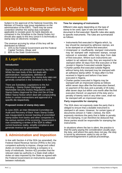Subject to the approval of the National Assembly, the Minister of Finance may issue regulations on the administration of the EMTL. There may be some contention whether the stamp duty exemption applicable to receipts given for bank deposits as contained in the Schedule to the Stamp Duties Act should also apply to this levy (since it is technically a stamp duty on electronic receipts).

The revenue accruing by virtue of this levy will be distributed as follows:

- 1. 15% to the Federal Government and the Federal Capital Territory, Abuja; and
- 2. 85% to the State Governments.

## **2. Legal Framework**

#### **Introduction**

Stamp Duties are primarily governed by the SDA. While the main body of the Act deals with administration, transactions, definition of instruments and penalties, the stamp duty rates are generally contained in the Schedule to the Act.

There are Subsidiary Legislations to the Act including – Stamp Duties (Mortgage and Marketable Security Duties) Regulations and the Stamp Duties (Approval for One Unit Die of One Million Naira) Notice which deal with compounding duties in certain transactions and approval of a specific die respectively.

#### **Proposed review of stamp duty rates**

In June 2020, an Inter-Ministerial Committee on Audit and Recovery of Back Years Stamp Duties was inaugurated to recover backlog of unremitted stamp duties from banks and other companies in the various sectors of the economy. Government is now considering a review of the SDA to reflect current business reality, simplify compliance and generate revenue for government.

### **3. Administration and Imposition**

In line with Section 4 of the SDA (as amended), the Federal Inland Revenue Service (FIRS) is the only competent authority to impose, charge and collect duties on instruments involving a company or a body of individuals. Section 4(2) provides that the relevant state tax authority in a State shall collect duties at rates imposed by the State as agreed with the Federal Government on instruments executed between individuals.

#### **Time for stamping of instruments**

Different rules apply depending on the type of stamp to be used, type of rate and where the document is first executed. Specific rules also apply to specific instruments. The rules are summarized as follows:

- Instruments first executed in Nigeria which, by law should be stamped by adhesive stamps, are to be stamped on or before first execution.
- Unstamped or insufficiently stamped instruments may be stamped with impressed stamps, except reduced or extended, within forty days from date of first execution. Where such instruments are subject to ad valorem duty, they are required to be stamped within 30 days from first execution or first receipt in Nigeria if executed outside Nigeria.
- Charter-parties first executed outside Nigeria without being duly stamped may be stamped with an adhesive stamp within 10 days after it is first received in Nigeria and before it has been executed in Nigeria.
- Charter-parties executed in Nigeria may be stamped with an impressed stamp as follows: within seven days after the first execution thereof, on payment of the duty and a penalty of 45 kobo; after seven days but within one month after the first execution thereof, on payment of the duty and a penalty of twenty naira in any other case, shall not be stamped with an impressed stamp.

#### **Party responsible for stamping**

The SDA does not expressly state the party that is obliged to ensure that a dutiable instrument is stamped in all cases. However, for certain types of documents (shown in Table 1 below), the SDA expressly mentions the party that is liable to penalty for not stamping. It can therefore be deduced that these parties would be responsible for stamping the instruments.

In situations where the law is silent, the practice is that the party paying the consideration usually pays the duty, and where this party does not pay, the duty is borne by whomever seeks to rely on the<br>instrument/agreement in judicial proceedings.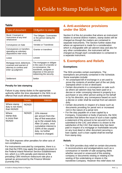| <b>Type of document</b>                                                                              | Obligation to stamp                                                                                                                                            |  |
|------------------------------------------------------------------------------------------------------|----------------------------------------------------------------------------------------------------------------------------------------------------------------|--|
| Bond, Covenant or<br>Instrument of any kind<br>whatsoever                                            | The Obligee, Covenantee<br>or the person taking the<br>security                                                                                                |  |
| Conveyance on Sale                                                                                   | Vendee or Transferee                                                                                                                                           |  |
| Conveyances or transfers<br>operating as voluntary<br>dispositions inter-vivos                       | Grantor or transferor                                                                                                                                          |  |
| Lease                                                                                                | Lessee                                                                                                                                                         |  |
| Mortgage bond, debenture,<br>covenant and warrant of<br>attorney to confess and<br>enter up judgment | The mortgagee or obligee<br>in the case of a transfer or<br>re-conveyance, the<br>transferee, assignee or<br>disponee or the person<br>redeeming the security. |  |
| Settlement                                                                                           | Settlor                                                                                                                                                        |  |

#### **Penalty for late stamping**

Failure to pay stamp duties to the appropriate authority within the time stipulated in the SDA is an offence that could attract penalty and interest.

|                                                     | Penalty      | Interest                                                                                                                                                                                                   |
|-----------------------------------------------------|--------------|------------------------------------------------------------------------------------------------------------------------------------------------------------------------------------------------------------|
| Where stamp<br>duty is not more<br>than NGN20       | <b>NGN20</b> |                                                                                                                                                                                                            |
| Where<br>stamp duty<br>is more than<br><b>NGN20</b> | <b>NGN20</b> | 10% interest<br>per annum from the<br>day of first execution<br>up to the unpaid duty.<br>After 10 years, once<br>cumulative interest is<br>100% of the unpaid<br>duty, no further<br>interest is charged. |

The SDA imposes other penalties for other acts of non-compliance.

For instruments executed by companies, there is a risk that the FIRS may apply the penalty provision in the Federal Inland Revenue Service Establishment Act, which is a 10% penalty and interest at the prevailing CBN minimum rediscount rate plus a spread as announced by the Finance Minister (currently 5%).

## **Table 4. Anti-avoidance provisions under the SDA**

Section 8 of the Act provides that where an instrument relates to several distinct matters, stamp duties will be charged as though the matters are contained in separate instruments. The Section further states that where an agreement is made for a consideration which is chargeable with ad valorem duty and also for any other consideration, the instrument will be charged as though each consideration is contained in a separate instrument.

## **5. Exemptions and Reliefs**

#### **Exemptions**

The SDA provides certain exemptions. The exemptions are primarily contained in the Schedule. Some examples include:

- An unstamped bill of exchange in a set used to prove the contents of another part of the set (duly stamped) which is lost or destroyed.
- Certain documents in a conveyance on sale such as where ad valorem duty has been paid on a decree or order conveying interest in property to a purchaser or any other person acting on his behalf or by his direction, any conveyance based on such a decree or order shall be exempt from ad valorem duty.
- Certain documents in respect of a lease such as documents providing for penal rent or increased rent in the nature of a penal rent.
- For the duty payable on a loan capital by a Company, Corporation or body of persons, the SDA provides that before the issue of such a loan capital, a statement of the amount to be secured is to be submitted to the CAC and where it is shown to the satisfaction of the CAC that stamp duty has been paid in respect of a mortgage or marketable security on any trust deed or other document securing a loan capital, such a loan capital shall be exempt from stamp duty.

#### **Reliefs**

• The SDA provides duty relief on certain documents in reconstructions and amalgamations such as a conveyance or transfer of sale assigning debts whether secured or unsecured of the existing company or documents vesting or relating to the vesting of the undertaking or shares in the transferee Company. However this relief does not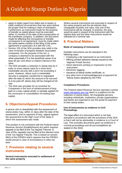## A Guide to Stamp Duties in Nigeria

- apply to debts (apart from debts due to banks or trade creditors) incurred less than two years before the proper time for making a claim of exemption. Furthermore, an instrument made for the purpose of transfer as stated above must be executed within 12 months of the date of the incorporation of the transferee company. In addition, the document made for effecting the conveyance or transfer consequent to an agreement, must be made within the same twelve months of the filing of the same agreement or particulars of it with the CAC.
- Section 105 of the SDA provides duty relief in the case of transfer of property between associated companies. For the purpose of the Act, a company is deemed to be associated with the other essentially if it is the beneficial owner of at least 90 per cent direct or indirect interest in the other.
- The SDA provides a reduction in stamp duty by 5 kobo on every twenty naira for a short-term marketable security with a term not exceeding 3 years. However, where such a marketable security is assigned, transferred or negotiated after the date on which the amount to be secured is to be paid off, stamp duty will be charged at full rate.
- The SDA also provides for an incentive for Companies in the form of reimbursement of duty paid on a loan capital wholly or partially applied for the conversion or consolidation of existing loan capital.

## of their stamp duties. **6. Objections/Appeal Procedures**

A person who is dissatisfied with the assessment of stamp duties may, within 21 days after the date of the assessment, and on payment of duty, appeal against the assessment to the High Court of the State in which the assessment was made.

This position is not consistent with the Federal Inland Revenue Service (Establishment) Act which requires appeals to be filed at the Tax Appeal Tribunal. In view of this, appeals may be filed at the relevant zone of the Tax Appeal Tribunal. This is based on section 68(2) of the FIRSEA which requires that the FIRSEA would prevail in case of inconsistency in other tax laws.

### **7. Provision relating to several instruments**

**Several instruments executed in settlement of the same property**

Where several instruments are executed in respect of the same property and the ad valorem duty chargeable exceeds one naira, only one of the instruments will be charged. In practice, the duty would be paid in respect of the instrument with the highest duty and the other instruments would be stamped at a nominal rate.

## **8. Practical Matters**

#### **Mode of stamping of instruments**

Dutiable instruments can be stamped in the following ways:

- Employing a die impressed on an instrument;
- Affixing printed adhesive stamps issued by the Nigerian Postal Service; •
- Direct electronic printing or impression on the instrument;
- Electronic tagging; •
- Issuance of stamp duties certificate, or •
- Any other form of acknowledgement of payment for Stamp duties adopted by the FIRS

#### **Compliance Procedures**

The Federal Inland Revenue Service operates a portal [\(www.stampduty.gov.ng\)](http://www.stampduty.gov.ng) which is a platform for the collection of stamp duties. All chargeable persons including individuals, institutions, private organisations, and banks are expected to use the portal for payment

#### **Use of instruments as evidence in Civil Proceedings**

The legal effect of a document which is not duly stamped in accordance with the provisions of the SDA is that it will not be admissible in evidence in a Court of Law. This excludes documents given as evidence in criminal proceedings and all just exceptions as stated in the SDA.

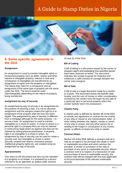## A Guide to Stamp Duties in Nigeria



### **9. Some specific agreements in** 31 and 32 of the SDA. **the SDA**

#### **Assignment**

An assignment is used to transfer intangible rights or incorporeal property such as debts, shares and other interest in intangible property. Interest in land and conveyance of intangibles are transferred by an assignment of rights over the property or intangibles. The stamp duty rates for a conveyance and an assignment of the same type of property are the same under the SDA. The terms could be used interchangeably depending on the nature of property being transferred.

#### **Assignment by way of security**

An assignment by way of security is an assignment for the purpose of securing a loan. It is not an absolute assignment and the assignor retains the right to a reassignment of the property after the loan has been repaid. The assignment by way of security is different from a mortgage although for the same purpose – to secure a loan. An assignment is used to transfer intangibles or a chose-in-action. A chose-in-action is a personal right to a property that can only be claimed or enforced by legal action as against one that can be claimed by taking physical possession. A property right in an intangible is a chose in action. An assignment by way of security can be used to create a security over any intangible or chose-in action. Security created over shares, insurance policies, intellectual property rights etc. are created using an assignment by way of security.

#### **Appraisements**

This refers to the document that sets out the valuation of a property or an estate. It is prepared by a person referred to as an appraiser as stated under sections

#### **Bill of Lading**

A bill of lading is a document issued by the carrier or shippers agent acknowledging that specified goods have been received on board. The document indicates the receipt of goods for shipment and evidences a valid contract of carriage between the carrier and consignor.

#### **Bill of Sale**

A bill of sale is a legal document made by a vendor to a buyer. The document shows the specific date, locality, and the sum of money or other consideration received by the vendor from the buyer for the sale of a particular item or personal property which the vendor lawfully had in his possession.

#### **Charter Party**

A charter party is defined by Section 46 of the SDA to include any agreement or contract for the charter of any ship or vessel or any memorandum, letter, or other writing between the captain, master or owner of any ship or vessel, and any other person for or relating to the freight or conveyance of any money, goods, or effects on board of a ship or vessel.

#### **Contract Notes**

Section 49 of the SDA defines a contract note as a note by an agent to his principal who deals in stock or marketable securities and which advises the principal, a vendor or purchaser of the sale or purchase of any stock or marketable security. Where a contract note is in respect of a transaction of sale and purchase of stock or marketable security, the contract note will be charged with the duty applicable to the purchase/sale of the relevant marketable security.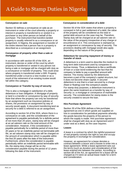#### **Conveyance on sale**

Section 52 defines a conveyance on sale as an instrument or order of the court whereby a property or interest in property is transferred to or vested in a purchaser or any other person on behalf of the purchaser. The instrument that transfers landed property is usually referred to as a conveyance or an assignment. In Nigeria, the assignment or transfer of the entire interest that a person has in a property is described as a conveyance or an assignment.

#### **Conveyance of property other than a sale or mortgage**

In accordance with section 65 of the SDA, an instrument, decree or order of the court by which property is transferred or vested in any person not being a sale or mortgage will be charged with duty as a conveyance or transfer of property. This could arise where property is transferred under a Will. Property transferred under a trust to a new trustee or as a result of the retirement of an existing trustee would fall within this category.

#### **Conveyance or Transfer by way of security**

This is also a mortgage in satisfaction of a debt, debenture or loan obligation. A Mortgage of property or land is a transfer or conveyance by way of security. Note that where the property can only be transferred by an assignment such as insurance policies or shares, the provisions on assignment by way of security would apply. A document transferring land as security for a debt is referred to as an assignment.

According to section 54 of the SDA, where there is a conveyance on sale, and the consideration of the agreement is payable periodically for a definite period of not more than 20 years, stamp duty will be charged at an ad valorem rate on the total amount of the consideration. However, if the consideration is payable periodically for a definite period of more than 20 years or for an indefinite period not terminable with life, an ad valorem stamp duty rate will be charged on the amount of consideration which is payable within the first 20 years after the date of the instrument. Furthermore, where the consideration is payable periodically within an indefinite period terminable with life, the stamp duty charge will be on the consideration payable during the period of 12 years following the date of the instrument.

#### **Conveyance in consideration of a debt**

Section 56 of the SDA states that where a property is conveyed in full or part settlement of a debt, the value of the property will be considered as the total or partial debt amount as the case may be. Therefore, Stamp duty will be charged at an ad valorem rate on the value of the property irrespective of any charge or encumbrance on it. This conveyance is stamped as an assignment or conveyance by way of security. The provisions dealing with mortgage would also apply depending on the nature of the property.

#### **Debenture for securing repayment of money or transfer of stock**

A debenture is a term used to describe the medium to long-term debt instrument used by companies to borrow money. Thus, a debenture is like a certificate of loan or a loan bond evidencing the fact that the company is liable to pay a specified amount with interest. The money raised by the debentures becomes a part of the company's capital structure, but it does not become share capital. A secured debenture is one that is a loan secured by a charge (fixed or floating) over the company's assets. For stamp duty purposes, a debenture instrument is given the same treatment as a transfer by way of security i.e. a mortgage or conveyance of marketable security. The consideration for stamp duties is the security created to secure the loan.

#### **Hire Purchase Agreement**

Section 30 of the SDA defines a hire purchase agreement as one in which goods are supplied on hire in consideration for periodical payments whereby the goods become the property of the person to whom the supply is made. Hire purchase agreement shall be charged with duty as an Agreement and if under seal as a deed, as the case requires.

#### **Leases**

A lease is a contract by which the rightful possessor of real property conveys the right to use and occupy the property in exchange for consideration.

However, an agreement for a lease denotes a contract between a lessor and a lessee to enter into a lease agreement. While a lease agreement sets out the terms (such as duration and consideration) of the lease entered into between the parties. According to section 68 of the Act, an agreement for a lease will be charged as if it were an actual lease made for a term and consideration.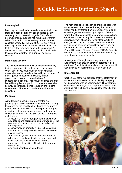#### **Loan Capital**

Loan capital is defined as any debenture stock, other stock or funded debt or any capital raised by any company or corporation in Nigeria. This refers to borrowed money but does not include an overdraft raised for a period not exceeding 12 months. Loan capital is charged at the rate of 25k for every N200. Loan capital would be similar to a shareholder loan that is granted for a long or an indefinite period. A debenture issued to a company would not fall under this category but rather as a transfer by way of security.

#### **Marketable Security**

The Act defines a marketable security as a security that is capable of being sold in any stock market. Under section 76, marketable securities include marketable security made or issued by or on behalf of any Nigerian company or individual, foreign government or corporation and offered for subscription in Nigeria. This includes shares or bonds issued by a private or public company. A marketable security also includes bonds issued by the Federal Government. Shares and bonds are marketable **securities** 

#### **Mortgage**

A mortgage is a security interest created over property by a debtor in favour of a creditor as security for a debt, on the condition that it shall be returned on payment of the debt within a certain period. Mortgage of land and other real property is provided for under section 80 of the SDA. The SDA defines a mortgage as follows –

- A security by way of mortgage for the payment of any definite and certain sum due or owed or for the payment of money to be lent, advanced or paid subsequently;
- A conveyance of property in trust to be sold and intended as security which is redeemable before sale or disposal;
- A defeasance, letter of reversion, declaration or other deed or writing intended as a security and which qualifies a convevance or makes a conveyance, disposition of land, estate or property redeemable;
- Any deed operating as a mortgage.

The mortgage of stocks such as shares is dealt with under section 29 and states that any instrument under hand only (other than a promissory note or bill of exchange) accompanied by a deposit of share warrant or share certificate to bearer or foreign share certificate or any security for money transferable by delivery, by way of security for any loan would be charged with duty. In practice, security over shares of a listed company is secured by placing a lien on the shares because the shares are domiciled at the Central Securities Clearing System (CSCS). Security over shares of a private company can be created by way of assignment of security.

A mortgage of intangibles is always done by an assignment even though it may be referred to as a mortgage. The duties that apply to a mortgage would also apply to an assignment by way of security.

#### **Share Capital**

Section 100 of the Act provides that the statement of nominal share capital of a limited liability company will be charged with ad valorem duty. The statement of increase in the registered capital is required to be stamped within 15 days of passing the resolution for an increase.

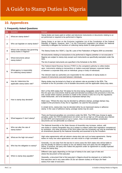## **10. Appendices**

#### **1. Frequently Asked Questions**

| S/N          | Question                                                        | Answer                                                                                                                                                                                                                                                                                                                                                                                                                                                                                                                                                                                                                                                                                                 |  |
|--------------|-----------------------------------------------------------------|--------------------------------------------------------------------------------------------------------------------------------------------------------------------------------------------------------------------------------------------------------------------------------------------------------------------------------------------------------------------------------------------------------------------------------------------------------------------------------------------------------------------------------------------------------------------------------------------------------------------------------------------------------------------------------------------------------|--|
| 1            | What are stamp duties?                                          | Stamp duties are taxes paid on written and electronic instruments or documents relating to an<br>act performed or required to be performed in Nigeria.                                                                                                                                                                                                                                                                                                                                                                                                                                                                                                                                                 |  |
| $\mathbf{2}$ | Who can legislate on stamp duties?                              | Stamp Duties is an item on the Exclusive Legislative List of the Constitution of the Federal<br>Republic of Nigeria. However, item 7 on the Concurrent Legislative List allows the National<br>Assembly to delegate the functions of collecting stamp duties to state government.                                                                                                                                                                                                                                                                                                                                                                                                                      |  |
| 3            | What is the statutory law governing<br>stamp duties in Nigeria? | The Stamp Duties Act ("SDA"), Cap S8, Laws of the Federation of Nigeria 2004 as amended.                                                                                                                                                                                                                                                                                                                                                                                                                                                                                                                                                                                                               |  |
| 4            | What instruments attract<br>stamp duties?                       | All instruments relating to transactions to be performed in Nigeria (whether or not executed in<br>Nigeria) are subject to stamp duty except such instruments as specifically exempted under the<br>SDA.<br>The list of exempt instruments are specified in the Schedule to the SDA.                                                                                                                                                                                                                                                                                                                                                                                                                   |  |
| 5            | What agency is responsible<br>for collecting stamp duties?      | The Federal Inland Revenue Service ("FIRS") is the competent authority to collect duties<br>upon instruments relating to transactions or matters executed between corporate bodies<br>or between a corporate body and an individual, group or body of individuals.<br>The relevant state tax authorities are responsible for the collection of stamp duties in<br>respect of instruments executed between individuals.                                                                                                                                                                                                                                                                                 |  |
| 6            | How do I determine the<br>applicable stamp duties rate?         | Stamp duties may be levied at a fixed or ad valorem rate as provided in the SDA. The<br>schedule to the Act provides a list of dutiable documents and the applicable stamp duty rates.                                                                                                                                                                                                                                                                                                                                                                                                                                                                                                                 |  |
| 7            | How is stamp duty denoted?                                      | S5(1) of the SDA states that "All duties for the time being chargeable under the provisions of<br>this Act upon any instruments shall be paid and denoted according to the provisions in this Act,<br>and, except where express provision is made to the contrary in this Act or by the regulations<br>made thereunder, are to be denoted by impressed stamps only."<br>S5(2) says, "Where the duty may be denoted by adhesive stamps, postage stamps may,<br>subject to the provisions of any Act or regulation, be used for the purpose."<br>In simple terms, stamp duty may be denoted either by an impressed stamp or adhesive<br>stamp. In the case of adhesive stamp, postage stamp may be used. |  |
| 8            | What happens if I don't stamp?                                  | There are financial penalties (on conviction) under the SDA. The FIRS may choose to apply<br>penalties under the FIRS Establishment Act which can be as high as 10% penalty plus interest<br>at CBN MPR and imprisonment of up to 3 years. Also, in civil proceedings unstamped<br>documents are not admissible as evidence.                                                                                                                                                                                                                                                                                                                                                                           |  |
| 9            | Who can alter the rate of<br>stamp duties?                      | The National Assembly or the State Houses of Assembly may increase, reduce, add<br>new duties or repeal chargeable duty (as it relates to matters within their legislative competence)<br>by resolution. Any other provision of the SDA (other than the Schedule) can only be amended by<br>an Amendment passed by the National Assembly and assented to by the President.                                                                                                                                                                                                                                                                                                                             |  |
| 10           | What are the high risk areas?                                   | High value agreements with ad valorem stamp duty rate such as lease agreements. Stamp<br>duties on many low value agreements can also result in a high cumulative value.                                                                                                                                                                                                                                                                                                                                                                                                                                                                                                                               |  |
| 11           | Who has the obligation to stamp?                                | Generally, it is not clear from the law but in some cases the SDA states who will be liable to<br>pay the penalty for failure to stamp so we can deduce that such party has the obligation to<br>stamp. In practice, the party who makes the payment under an agreement is usually expected<br>to pay the stamp duty.                                                                                                                                                                                                                                                                                                                                                                                  |  |
| 12           | When is stamp duty payable?                                     | Different rules apply depending on the type of stamp to be used, type of rate and<br>where the document is first executed.<br>Generally, a document that is first executed in Nigeria should be stamped on or before the<br>first execution and in any case within 30 (for ad-valorem duties) or 40 days (for fixed<br>duties) from date of execution.                                                                                                                                                                                                                                                                                                                                                 |  |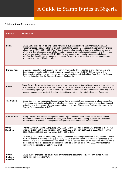## A Guide to Stamp Duties in Nigeria

#### **2. International Perspectives**

| <b>Country</b>                                      | <b>Stamp Duty</b>                                                                                                                                                                                                                                                                                                                                                                                                                                                                                                                                                                                                                                                                                                                                                        |  |  |
|-----------------------------------------------------|--------------------------------------------------------------------------------------------------------------------------------------------------------------------------------------------------------------------------------------------------------------------------------------------------------------------------------------------------------------------------------------------------------------------------------------------------------------------------------------------------------------------------------------------------------------------------------------------------------------------------------------------------------------------------------------------------------------------------------------------------------------------------|--|--|
| <b>Benin</b>                                        | Stamp Duty exists as a fixed rate on the stamping of business contracts and other instruments. Ad<br>valorem charges exist when there is an instrument stating an increase in capital of a company by charging<br>a fixed rate of XOF 6,000 (6,000 West African Francs) and on transfer of Land and buildings at rates of<br>1% for sho-rtterm leases or hires, 5% for long term leases or sales of moveable property and 8% for sale<br>of a business and at a fixed fee of XOF 6,000 for shares or mergers, capital increases and shares<br>transfers that do not include a company's takeover. Previously the registration of service contracts was<br>free, now a set rate of 1% of the price.                                                                       |  |  |
| <b>Burkina Faso</b>                                 | In Burkina Faso, stamp duty is applied on administrative acts. This is applied at a fixed or variable rate<br>depending on the nature of the act. Stamp duty on contracts is levied at XOF 400 per page of the<br>document. Several types of transactions are exempt from stamp duty in Burkina Faso. Tax in the Burkina<br>Faso is administered by the Direction Générale des Imports.                                                                                                                                                                                                                                                                                                                                                                                  |  |  |
| Kenya                                               | Stamp Duty in Kenya exists at nominal or ad valorem rates on some financial instruments and transactions.<br>On a subsequent increase in authorized share capital, a 1% stamp duty is levied. Also, a levy of 4% exists<br>on immovable property (2% if in the rural areas). Transfer of shares and other securities attract a levy of 1%.<br>However, an exemption applies if the shares/securities are listed in the Nairobi Securities Exchange.                                                                                                                                                                                                                                                                                                                      |  |  |
| <b>The Gambia</b>                                   | Stamp duty is levied on juristic acts resulting in a flow of wealth between the parties to a legal transaction.<br>Thus, stamp duty tax is applicable, inter alia, to acts through which transactions on real estate or financial<br>obligations are documented. Rates vary depending on the type of transaction. Tax is administered by the<br>Gambia Revenue Authority (GRA).                                                                                                                                                                                                                                                                                                                                                                                          |  |  |
| <b>South Africa</b>                                 | Stamp Duty in South Africa was repealed on the 1 April 2009 in an effort to reduce the administrative<br>burden on taxpayers and to simplify the tax system. Prior to this date, a stamp duty of 0.5% was set on<br>property lease. A Transfer Duty payable on Properties was introduced as a replacement.                                                                                                                                                                                                                                                                                                                                                                                                                                                               |  |  |
| <b>United</b><br>Kingdom                            | Prior to COVID-19, Stamp Duty (Stamp Duty Land Tax or SDLT as it is called) was charged at the following<br>rates; Up to £125,000 at 0%, from £125,000 to £250,000 at 2%, from £250,001 to £925,000 at 5%, from<br>£925,001 to £1,500,000 and from above £1,500,000 at 12%.<br>However, post COVID-19, a temporary Stamp Duty holiday has been granted from 8 July 2020 to 31 March<br>2021. Purchases of dwelling costing up to £500,000 are exempted from SDLT unless the purchase is an<br>additional dwelling. Purchases exceeding this threshold will only be taxed on the additional amounts above<br>the threshold. Also, the additional dwellings will be taxed at only 3% on the first £500,000 with tapered<br>charges for the consideration above that level. |  |  |
| <b>United</b><br><b>States of</b><br><b>America</b> | Stamp duty is chargeable at varying rates on transactional documents. However only states impose<br>stamp duty charges in the USA.                                                                                                                                                                                                                                                                                                                                                                                                                                                                                                                                                                                                                                       |  |  |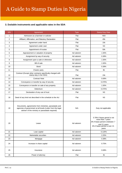#### **3. Dutiable instruments and applicable rates in the SDA**

| S/N            | Agreement                                                                                                                                                                 | <b>Type</b> | <b>Stamp Duty Rate</b>                                                                                                                         |
|----------------|---------------------------------------------------------------------------------------------------------------------------------------------------------------------------|-------------|------------------------------------------------------------------------------------------------------------------------------------------------|
| 1              | Admission as a barrister or solicitor                                                                                                                                     | Flat        | N <sub>50</sub>                                                                                                                                |
| $\overline{2}$ | Affidavit, Affirmation, and Statutory Declaration                                                                                                                         | Flat        | 45k                                                                                                                                            |
| 3              | Agreement under hand                                                                                                                                                      | Flat        | 15k                                                                                                                                            |
| 4              | Agreement under seal                                                                                                                                                      | Flat        | N <sub>3</sub>                                                                                                                                 |
| 5              | Appointment of trustee                                                                                                                                                    | Flat        | 50k                                                                                                                                            |
| $\,6\,$        | Appraisement or valuation of property                                                                                                                                     | Ad valorem  | 1.50%                                                                                                                                          |
| $\overline{7}$ | Assignment by way of security                                                                                                                                             | Ad valorem  | 0.38%                                                                                                                                          |
| 8              | Assignment upon a sale or otherwise                                                                                                                                       | Ad valorem  | 1.50%                                                                                                                                          |
| 9              | Bill of sale                                                                                                                                                              | Ad valorem  | 1.50%                                                                                                                                          |
| 10             | <b>Bond</b>                                                                                                                                                               | Ad valorem  | 0.38%                                                                                                                                          |
| 11             | Charter party                                                                                                                                                             | Flat        | 9k                                                                                                                                             |
| 12             | Contract (Except other contracts specifically charged with<br>stamp duty in the SDA)                                                                                      | Flat        | 15k                                                                                                                                            |
| 13             | <b>Contract Note</b>                                                                                                                                                      | Ad valorem  | 0.08%                                                                                                                                          |
| 14             | Conveyance or transfer by way of security                                                                                                                                 | Ad valorem  | 0.375%                                                                                                                                         |
| 15             | Conveyance or transfer on sale of any property                                                                                                                            | Ad valorem  | 1.50%                                                                                                                                          |
| 16             | Debenture                                                                                                                                                                 | Ad valorem  | 0.375%                                                                                                                                         |
| 17             | Declaration of any use of trust                                                                                                                                           | Flat        | N <sub>3</sub>                                                                                                                                 |
| 18             | Deed of any kind not described in the schedule to the Act                                                                                                                 | Flat        | N <sub>3</sub>                                                                                                                                 |
| 19             | Documents, agreements from ministries, parastatals and<br>agencies of government at all levels (Letter from the legal<br>adviser of the ministry or parastatals required) | N/A         | Duty not applicable                                                                                                                            |
| 20             | Lease                                                                                                                                                                     | Ad valorem  | 0.78% if lease period is not<br>more than 7 years<br>3% if lease period is between 7<br>and 21 years<br>6% if lease period is over 21<br>years |
| 21             | Loan capital                                                                                                                                                              | Ad valorem  | 0.125%                                                                                                                                         |
| 22             | Marketable securities                                                                                                                                                     | Ad valorem  | 2.25%                                                                                                                                          |
| 23             | Mortgage                                                                                                                                                                  | Ad valorem  | 0.38%                                                                                                                                          |
| 24             | Increase in share capital                                                                                                                                                 | Ad valorem  | 0.75%                                                                                                                                          |
| 25             | Insurance                                                                                                                                                                 | Ad valorem  | 0.08%                                                                                                                                          |
| 26             | Power of attorney                                                                                                                                                         | Flat        | 3k                                                                                                                                             |